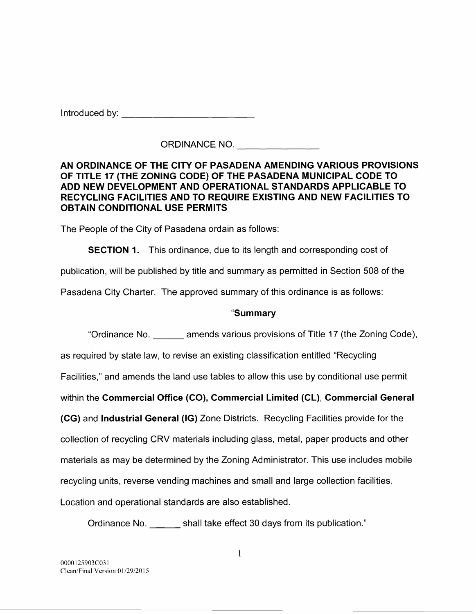Introduced by: **and the set of the set of the set of the set of the set of the set of the set of the set of the set of the set of the set of the set of the set of the set of the set of the set of the set of the set of the** 

ORDINANCE NO.

## AN ORDINANCE OF THE CITY OF PASADENA AMENDING VARIOUS PROVISIONS OF TITLE 17 (THE ZONING CODE) OF THE PASADENA MUNICIPAL CODE TO ADD NEW DEVELOPMENT AND OPERATIONAL STANDARDS APPLICABLE TO RECYCLING FACILITIES AND TO REQUIRE EXISTING AND NEW FACILITIES TO OBTAIN CONDITIONAL USE PERMITS

The People of the City of Pasadena ordain as follows:

**SECTION 1.** This ordinance, due to its length and corresponding cost of

publication, will be published by title and summary as permitted in Section 508 of the

Pasadena City Charter. The approved summary of this ordinance is as follows:

# "Summary

"Ordinance No. \_\_\_ amends various provisions of Title 17 (the Zoning Code), as required by state law, to revise an existing classification entitled "Recycling Facilities," and amends the land use tables to allow this use by conditional use permit within the Commercial Office (CO), Commercial Limited (CL), Commercial General (CG) and Industrial General (IG) Zone Districts. Recycling Facilities provide for the collection of recycling CRV materials including glass, metal, paper products and other materials as may be determined by the Zoning Administrator. This use includes mobile recycling units, reverse vending machines and small and large collection facilities. Location and operational standards are also established.

Ordinance No. \_\_\_ shall take effect 30 days from its publication."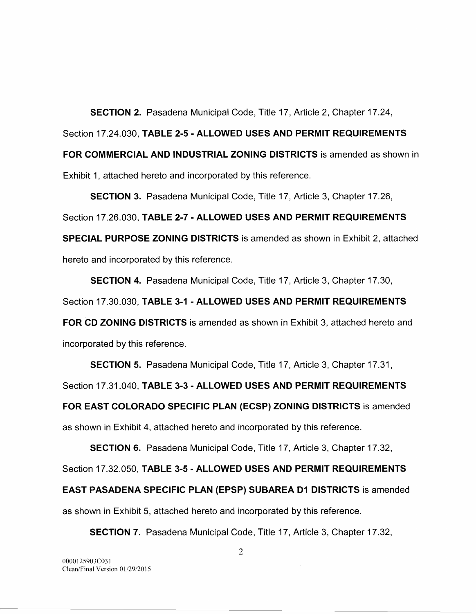**SECTION** 2. Pasadena Municipal Code, Title 17, Article 2, Chapter 17.24, Section 17.24.030, **TABLE 2-5- ALLOWED USES AND PERMIT REQUIREMENTS FOR COMMERCIAL AND INDUSTRIAL ZONING DISTRICTS** is amended as shown in Exhibit 1, attached hereto and incorporated by this reference.

**SECTION** 3. Pasadena Municipal Code, Title 17, Article 3, Chapter 17.26, Section 17.26.030, **TABLE** 2-7- **ALLOWED USES AND PERMIT REQUIREMENTS SPECIAL PURPOSE ZONING DISTRICTS** is amended as shown in Exhibit 2, attached hereto and incorporated by this reference.

**SECTION 4.** Pasadena Municipal Code, Title 17, Article 3, Chapter 17.30,

Section 17.30.030, **TABLE 3-1- ALLOWED USES AND PERMIT REQUIREMENTS** 

**FOR CD ZONING DISTRICTS** is amended as shown in Exhibit 3, attached hereto and incorporated by this reference.

**SECTION 5.** Pasadena Municipal Code, Title 17, Article 3, Chapter 17.31,

Section 17.31.040, **TABLE** 3-3- **ALLOWED USES AND PERMIT REQUIREMENTS** 

**FOR EAST COLORADO SPECIFIC PLAN (ECSP) ZONING DISTRICTS** is amended

as shown in Exhibit 4, attached hereto and incorporated by this reference.

**SECTION 6.** Pasadena Municipal Code, Title 17, Article 3, Chapter 17.32,

Section 17.32.050, **TABLE 3-5- ALLOWED USES AND PERMIT REQUIREMENTS** 

**EAST PASADENA SPECIFIC PLAN (EPSP) SUBAREA D1 DISTRICTS** is amended

as shown in Exhibit 5, attached hereto and incorporated by this reference.

**SECTION 7.** Pasadena Municipal Code, Title 17, Article 3, Chapter 17.32,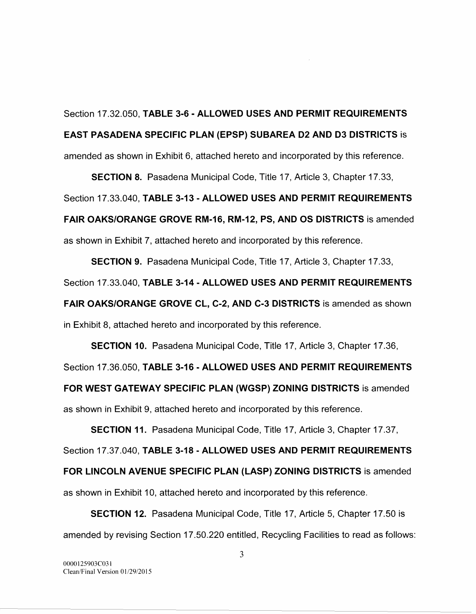Section 17.32.050, TABLE 3-6- ALLOWED USES AND PERMIT REQUIREMENTS EAST PASADENA SPECIFIC PLAN (EPSP) SUBAREA D2 AND D3 DISTRICTS is amended as shown in Exhibit 6, attached hereto and incorporated by this reference.

SECTION 8. Pasadena Municipal Code, Title 17, Article 3, Chapter 17.33,

Section 17.33.040, TABLE 3-13- ALLOWED USES AND PERMIT REQUIREMENTS FAIR OAKS/ORANGE GROVE RM-16, RM-12, PS, AND OS DISTRICTS is amended as shown in Exhibit 7, attached hereto and incorporated by this reference.

SECTION 9. Pasadena Municipal Code, Title 17, Article 3, Chapter 17 .33, Section 17.33.040, TABLE 3-14- ALLOWED USES AND PERMIT REQUIREMENTS FAIR OAKS/ORANGE GROVE CL, C-2, AND C-3 DISTRICTS is amended as shown in Exhibit 8, attached hereto and incorporated by this reference.

SECTION 10. Pasadena Municipal Code, Title 17, Article 3, Chapter 17.36, Section 17.36.050, TABLE 3-16- ALLOWED USES AND PERMIT REQUIREMENTS FOR WEST GATEWAY SPECIFIC PLAN (WGSP) ZONING DISTRICTS is amended as shown in Exhibit 9, attached hereto and incorporated by this reference.

SECTION 11. Pasadena Municipal Code, Title 17, Article 3, Chapter 17.37, Section 17.37.040, TABLE 3-18- ALLOWED USES AND PERMIT REQUIREMENTS FOR LINCOLN AVENUE SPECIFIC PLAN (LASP) ZONING DISTRICTS is amended as shown in Exhibit 10, attached hereto and incorporated by this reference.

SECTION 12. Pasadena Municipal Code, Title 17, Article 5, Chapter 17.50 is amended by revising Section 17.50.220 entitled, Recycling Facilities to read as follows: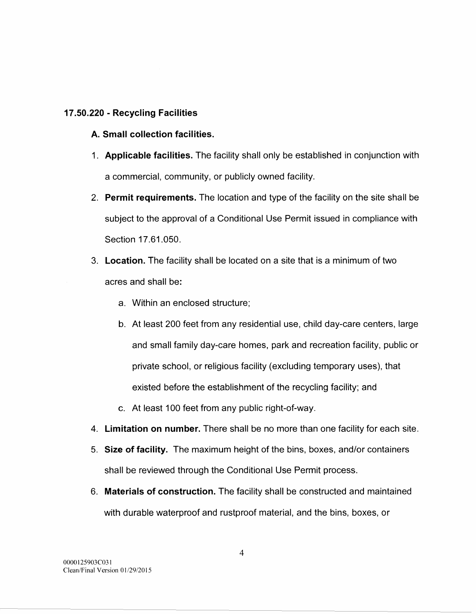## **17.50.220 - Recycling Facilities**

# **A. Small collection facilities.**

- 1. **Applicable facilities.** The facility shall only be established in conjunction with a commercial, community, or publicly owned facility.
- 2. **Permit requirements.** The location and type of the facility on the site shall be subject to the approval of a Conditional Use Permit issued in compliance with Section 17.61.050.
- 3. **Location.** The facility shall be located on a site that is a minimum of two acres and shall be:
	- a. Within an enclosed structure;
	- b. At least 200 feet from any residential use, child day-care centers, large and small family day-care homes, park and recreation facility, public or private school, or religious facility (excluding temporary uses), that existed before the establishment of the recycling facility; and
	- c. At least 100 feet from any public right-of-way.
- 4. **Limitation on number.** There shall be no more than one facility for each site.
- 5. **Size of facility.** The maximum height of the bins, boxes, and/or containers shall be reviewed through the Conditional Use Permit process.
- 6. **Materials of construction.** The facility shall be constructed and maintained with durable waterproof and rustproof material, and the bins, boxes, or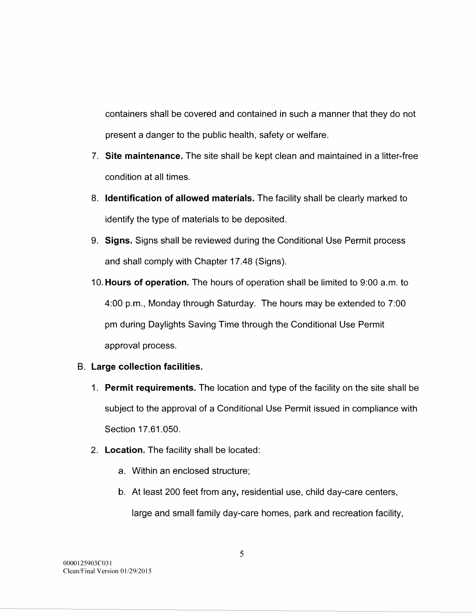containers shall be covered and contained in such a manner that they do not present a danger to the public health, safety or welfare.

- 7. **Site maintenance.** The site shall be kept clean and maintained in a litter-free condition at all times.
- 8. **Identification of allowed materials.** The facility shall be clearly marked to identify the type of materials to be deposited.
- 9. **Signs.** Signs shall be reviewed during the Conditional Use Permit process and shall comply with Chapter 17.48 (Signs).
- 10. **Hours of operation.** The hours of operation shall be limited to 9:00 a.m. to 4:00 p.m., Monday through Saturday. The hours may be extended to 7:00 pm during Daylights Saving Time through the Conditional Use Permit approval process.

# **B. Large collection facilities.**

- 1. **Permit requirements.** The location and type of the facility on the site shall be subject to the approval of a Conditional Use Permit issued in compliance with Section 17.61.050.
- 2. **Location.** The facility shall be located:
	- a. Within an enclosed structure;
	- b. At least 200 feet from any, residential use, child day-care centers,
		- large and small family day-care homes, park and recreation facility,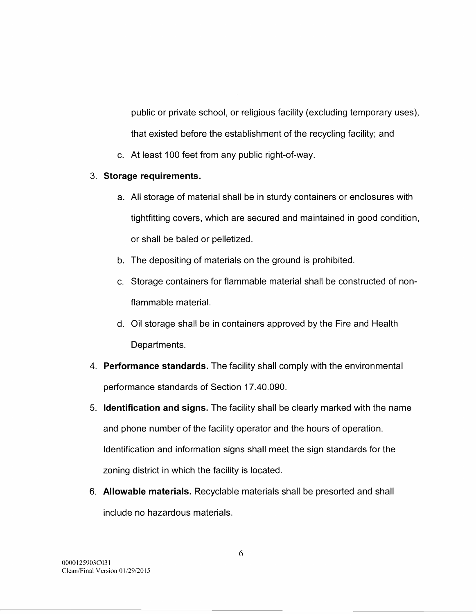public or private school, or religious facility (excluding temporary uses), that existed before the establishment of the recycling facility; and

c. At least 100 feet from any public right-of-way.

# 3. **Storage requirements.**

- a. All storage of material shall be in sturdy containers or enclosures with tightfitting covers, which are secured and maintained in good condition, or shall be baled or pelletized.
- b. The depositing of materials on the ground is prohibited.
- c. Storage containers for flammable material shall be constructed of nonflammable material.
- d. Oil storage shall be in containers approved by the Fire and Health Departments.
- 4. **Performance standards.** The facility shall comply with the environmental performance standards of Section 17.40.090.
- 5. **Identification and signs.** The facility shall be clearly marked with the name and phone number of the facility operator and the hours of operation. Identification and information signs shall meet the sign standards for the zoning district in which the facility is located.
- 6. **Allowable materials.** Recyclable materials shall be presorted and shall include no hazardous materials.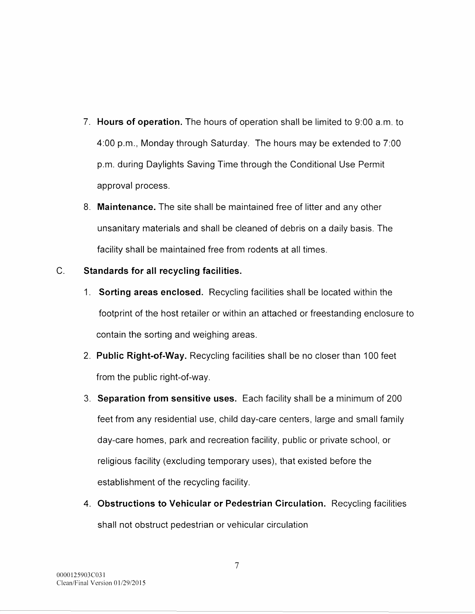- 7. **Hours of operation.** The hours of operation shall be limited to 9:00a.m. to 4:00 p.m., Monday through Saturday. The hours may be extended to 7:00 p.m. during Daylights Saving Time through the Conditional Use Permit approval process.
- 8. **Maintenance.** The site shall be maintained free of litter and any other unsanitary materials and shall be cleaned of debris on a daily basis. The facility shall be maintained free from rodents at all times.

# C. **Standards for all recycling facilities.**

- 1. **Sorting areas enclosed.** Recycling facilities shall be located within the footprint of the host retailer or within an attached or freestanding enclosure to contain the sorting and weighing areas.
- 2. **Public Right-of-Way.** Recycling facilities shall be no closer than 100 feet from the public right-of-way.
- 3. **Separation from sensitive uses.** Each facility shall be a minimum of 200 feet from any residential use, child day-care centers, large and small family day-care homes, park and recreation facility, public or private school, or religious facility (excluding temporary uses), that existed before the establishment of the recycling facility.
- 4. **Obstructions to Vehicular or Pedestrian Circulation.** Recycling facilities shall not obstruct pedestrian or vehicular circulation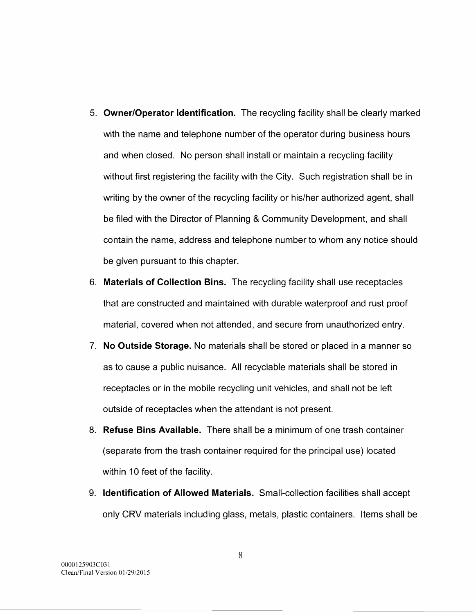- 5. **Owner/Operator Identification.** The recycling facility shall be clearly marked with the name and telephone number of the operator during business hours and when closed. No person shall install or maintain a recycling facility without first registering the facility with the City. Such registration shall be in writing by the owner of the recycling facility or his/her authorized agent, shall be filed with the Director of Planning & Community Development, and shall contain the name, address and telephone number to whom any notice should be given pursuant to this chapter.
- 6. **Materials of Collection Bins.** The recycling facility shall use receptacles that are constructed and maintained with durable waterproof and rust proof material, covered when not attended, and secure from unauthorized entry.
- 7. **No Outside Storage.** No materials shall be stored or placed in a manner so as to cause a public nuisance. All recyclable materials shall be stored in receptacles or in the mobile recycling unit vehicles, and shall not be left outside of receptacles when the attendant is not present.
- 8. **Refuse Bins Available.** There shall be a minimum of one trash container (separate from the trash container required for the principal use) located within 10 feet of the facility.
- 9. **Identification of Allowed Materials.** Small-collection facilities shall accept only CRV materials including glass, metals, plastic containers. Items shall be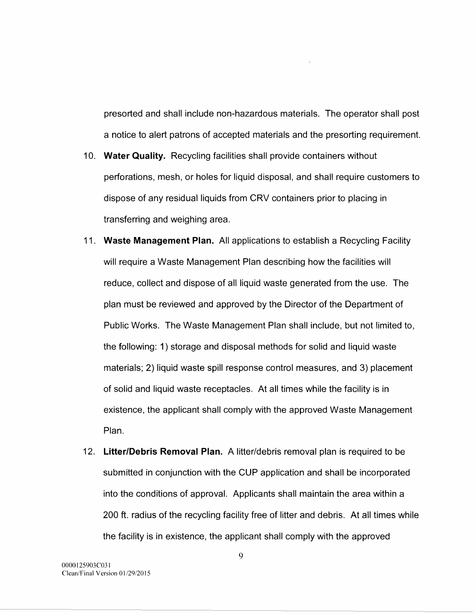presorted and shall include non-hazardous materials. The operator shall post a notice to alert patrons of accepted materials and the presorting requirement.

- 10. **Water Quality.** Recycling facilities shall provide containers without perforations, mesh, or holes for liquid disposal, and shall require customers to dispose of any residual liquids from CRV containers prior to placing in transferring and weighing area.
- 11. **Waste Management Plan.** All applications to establish a Recycling Facility will require a Waste Management Plan describing how the facilities will reduce, collect and dispose of all liquid waste generated from the use. The plan must be reviewed and approved by the Director of the Department of Public Works. The Waste Management Plan shall include, but not limited to, the following: 1) storage and disposal methods for solid and liquid waste materials; 2) liquid waste spill response control measures, and 3) placement of solid and liquid waste receptacles. At all times while the facility is in existence, the applicant shall comply with the approved Waste Management Plan.
- 12. **Litter/Debris Removal Plan. A** litter/debris removal plan is required to be submitted in conjunction with the CUP application and shall be incorporated into the conditions of approval. Applicants shall maintain the area within a 200 ft. radius of the recycling facility free of litter and debris. At all times while the facility is in existence, the applicant shall comply with the approved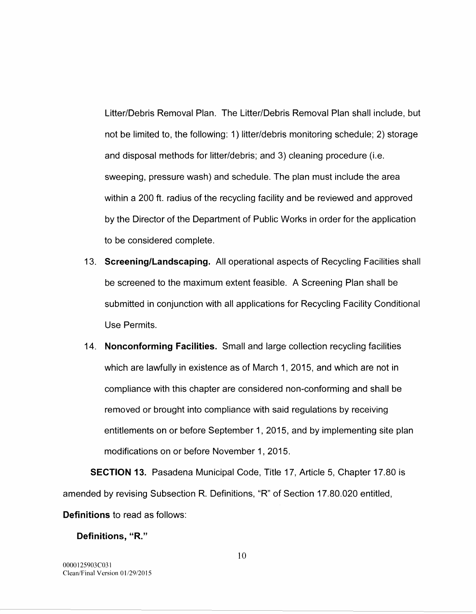Litter/Debris Removal Plan. The Litter/Debris Removal Plan shall include, but not be limited to, the following: 1) litter/debris monitoring schedule; 2) storage and disposal methods for litter/debris; and 3) cleaning procedure (i.e. sweeping, pressure wash) and schedule. The plan must include the area within a 200 ft. radius of the recycling facility and be reviewed and approved by the Director of the Department of Public Works in order for the application to be considered complete.

- 13. **Screening/Landscaping.** All operational aspects of Recycling Facilities shall be screened to the maximum extent feasible. A Screening Plan shall be submitted in conjunction with all applications for Recycling Facility Conditional Use Permits.
- 14. **Nonconforming Facilities.** Small and large collection recycling facilities which are lawfully in existence as of March 1, 2015, and which are not in compliance with this chapter are considered non-conforming and shall be removed or brought into compliance with said regulations by receiving entitlements on or before September 1, 2015, and by implementing site plan modifications on or before November 1, 2015.

**SECTION 13.** Pasadena Municipal Code, Title 17, Article 5, Chapter 17.80 is amended by revising Subsection R. Definitions, "R" of Section 17.80.020 entitled, **Definitions** to read as follows:

**Definitions, "R."**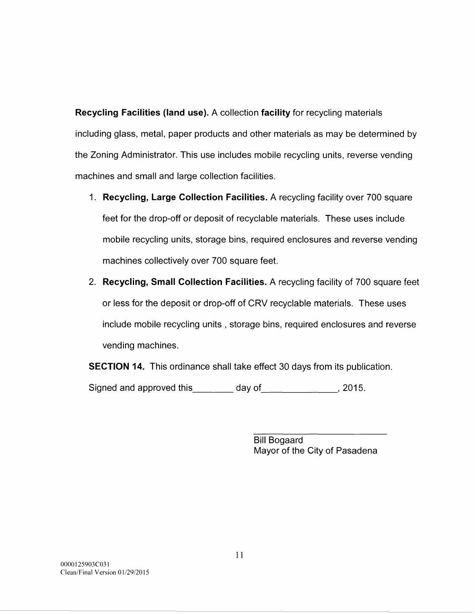**Recycling Facilities (land use). A** collection **facility** for recycling materials including glass, metal, paper products and other materials as may be determined by the Zoning Administrator. This use includes mobile recycling units, reverse vending machines and small and large collection facilities.

- 1. **Recycling, Large Collection Facilities. A** recycling facility over 700 square feet for the drop-off or deposit of recyclable materials. These uses include mobile recycling units, storage bins, required enclosures and reverse vending machines collectively over 700 square feet.
- 2. **Recycling, Small Collection Facilities. A** recycling facility of 700 square feet or less for the deposit or drop-off of CRV recyclable materials. These uses include mobile recycling units , storage bins, required enclosures and reverse vending machines.

**SECTION 14.** This ordinance shall take effect 30 days from its publication.

Signed and approved this \_\_\_\_\_\_ day of \_\_\_\_\_\_\_\_\_\_\_\_\_, 2015.

Bill Bogaard Mayor of the City of Pasadena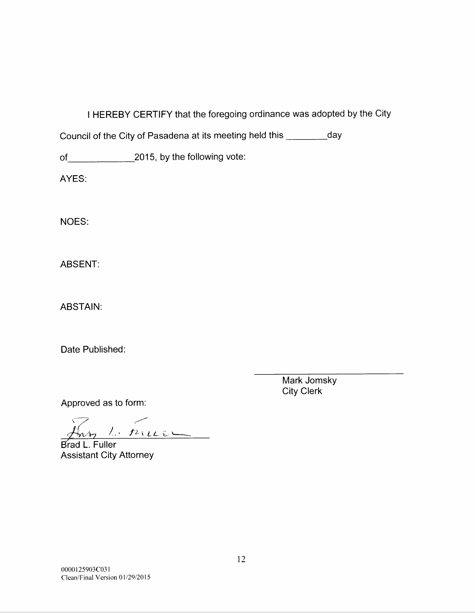I HEREBY CERTIFY that the foregoing ordinance was adopted by the City

Council of the City of Pasadena at its meeting held this \_\_\_\_\_\_\_\_\_day

of 2015, by the following vote:

AYES:

NOES:

ABSENT:

ABSTAIN:

Date Published:

Mark Jomsky City Clerk

Approved as to form:

 $\Rightarrow$   $\Rightarrow$  $\#n$  /,  $n$ 

Brad L. Fuller Assistant City Attorney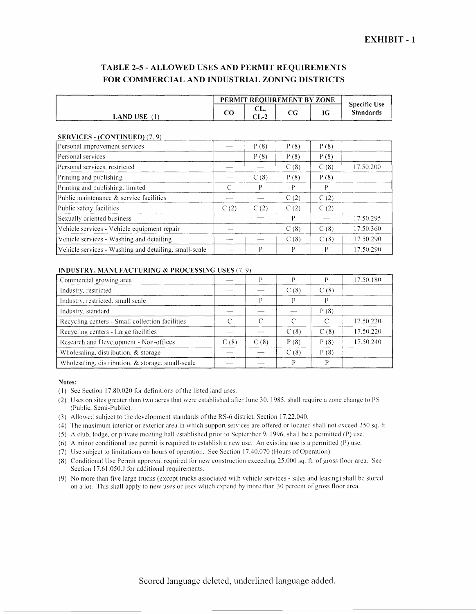## TABLE 2-5- ALLOWED USES AND PERMIT REQUIREMENTS FOR COMMERCIAL AND INDUSTRIAL ZONING DISTRICTS

|                                     |    | PERMIT REQUIREMENT BY ZONE |     |    |                                         |  |  |
|-------------------------------------|----|----------------------------|-----|----|-----------------------------------------|--|--|
| <b>LAND USE</b><br>-----<br>------- | co | .<br>UL.<br>ΩT<br>しレーム     | U U | IG | <b>Specific Use</b><br><b>Standards</b> |  |  |

### SERVICES - (CONTINUED) (7, 9)

| Personal improvement services                         |                | P(8) | P(8) | P(8) |           |
|-------------------------------------------------------|----------------|------|------|------|-----------|
| Personal services                                     | <b>Holland</b> | P(8) | P(8) | P(8) |           |
| Personal services, restricted                         |                |      | C(8) | C(8) | 17.50.200 |
| Printing and publishing                               |                | C(8) | P(8) | P(8) |           |
| Printing and publishing, limited                      | C              | р    | P    | P    |           |
| Public maintenance & service facilities               |                |      | C(2) | C(2) |           |
| Public safety facilities                              | C(2)           | C(2) | C(2) | C(2) |           |
| Sexually oriented business                            |                |      | P    |      | 17.50.295 |
| Vehicle services - Vehicle equipment repair           |                |      | C(8) | C(8) | 17.50.360 |
| Vehicle services - Washing and detailing              |                |      | C(8) | C(8) | 17.50.290 |
| Vehicle services - Washing and detailing, small-scale |                | P    | P    | P    | 17.50.290 |

#### INDUSTRY, MANUFACTURING & PROCESSING USES (7, 9)

| Commercial growing area                           |      | D     | D    |      | 17.50.180 |
|---------------------------------------------------|------|-------|------|------|-----------|
| Industry, restricted                              |      |       | C(8) | C(8) |           |
| Industry, restricted, small scale                 |      | D     | D    | D    |           |
| Industry, standard                                |      |       |      | P(8) |           |
| Recycling centers - Small collection facilities   |      | C     | C    |      | 17.50.220 |
| Recycling centers - Large facilities              |      |       | C(8) | C(8) | 17.50.220 |
| Research and Development - Non-offices            | C(8) | C(8)  | P(8) | P(8) | 17.50.240 |
| Wholesaling, distribution, & storage              |      |       | C(8) | P(8) |           |
| Wholesaling, distribution, & storage, small-scale |      | ----- |      | D    |           |

#### Notes:

- (I) Sec Section 17.80.020 for definitions of the listed land uses.
- (2) Uses on sites greater than two acres that were established after June 30, 1985, shall require a zone change to PS (Public. Semi-Public).
- (3) Allowed subject to the development standards of the RS-6 district. Section 17.22.040.
- (4) The maximum interior or exterior area in which support services are offered or located shall not exceed 250 sq. ft.
- (5) A club, lodge, or private meeting hall established prior to September 9. 1996, shall be a permitted (P) use.
- (6) A minor conditional use permit is required to establish a new usc. An existing usc is a permitted (P) use.
- (7) Usc subject to limitations on hours of operation. See Section 17.40.070 (Hours of Operation).
- (8) Conditional Use Permit approval required for new construction exceeding 25.000 sq. ft. of gross floor area. Sec Section 17.61.050.J for additional requirements.
- (9) No more than five large trucks (except trucks associated with vehicle services- sales and leasing) shall be stored on a lot. This shall apply to new uses or uses which expand by more than 30 percent of gross floor area.

Scored language deleted, underlined language added.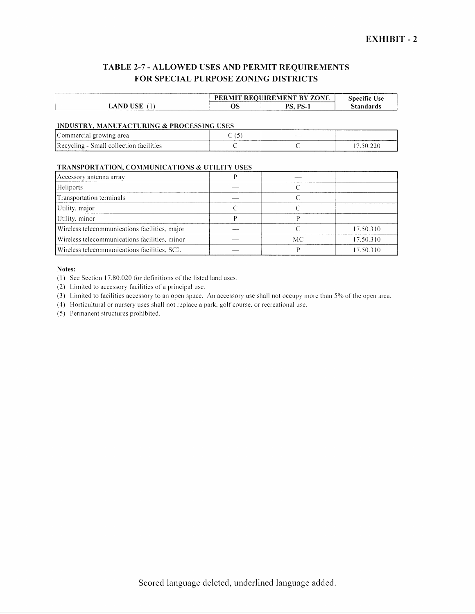## TABLE 2-7- ALLOWED USES AND PERMIT REQUIREMENTS FOR SPECIAL PURPOSE ZONING DISTRICTS

|                   | 'RMIT |                        | . .       |
|-------------------|-------|------------------------|-----------|
|                   | РF    | " REOHIREMENT RV       | .snecific |
|                   |       | <b>ZONE</b>            | Jse       |
| JSE<br>. ND<br>LA | və    | DC.<br>nс<br>- 37<br>. | *andards  |

#### INDUSTRY, MANUFACTURING & PROCESSING USES

| [Commercial growing area]               | $\overline{\phantom{0}}$ | Adult Corp. |  |
|-----------------------------------------|--------------------------|-------------|--|
| Recycling - Small collection facilities |                          |             |  |

### TRANSPORTATION, COMMUNICATIONS & UTILITY USES

| Accessory antenna array                       |    |           |
|-----------------------------------------------|----|-----------|
| Heliports                                     |    |           |
| Transportation terminals                      |    |           |
| Utility, major                                |    |           |
| Utility, minor                                |    |           |
| Wireless telecommunications facilities, major |    | 17.50.310 |
| Wireless telecommunications facilities, minor | МC | 17.50.310 |
| Wireless telecommunications facilities, SCL   |    | 17.50.310 |

### Notes:

(I) See Section 17.80.020 for definitions of the listed land uses.

 $(2)$  Limited to accessory facilities of a principal use.

(3) Limited to facilities accessory to an open space. An accessory use shall not occupy more than  $5\%$  of the open area.

( 4) Horticultural or nursery uses shall not replace a park. golf course. or recreational use.

(5) Permanent structures prohibited.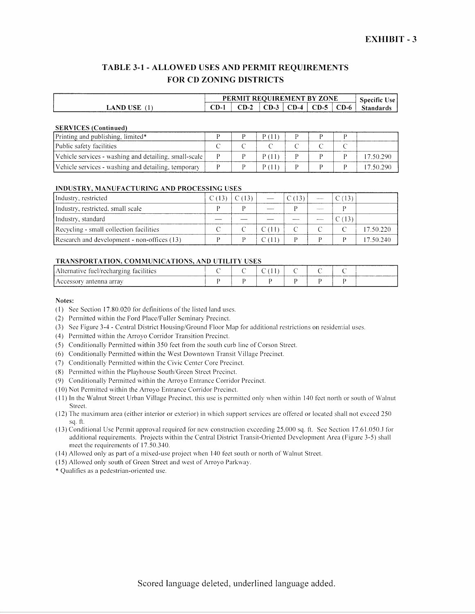## TABLE 3-1- ALLOWED USES AND PERMIT REQUIREMENTS FOR CD ZONING DISTRICTS

|                 |     | <b>PERMIT REQUIREMENT BY ZONE</b> |                 |             |      |      | <br>Specific<br>.Jse |
|-----------------|-----|-----------------------------------|-----------------|-------------|------|------|----------------------|
| <b>LAND USE</b> | CD- | $\Gamma$ D-2                      | $\mathbf{CD-3}$ | CD-4<br>- 1 | CD-5 | CD-6 | <b>Standards</b>     |

#### SERVICES (Continued)

| Printing and publishing, limited*                     |  |  |  |           |
|-------------------------------------------------------|--|--|--|-----------|
| Public safety facilities                              |  |  |  |           |
| Vehicle services - washing and detailing, small-scale |  |  |  | 17.50.290 |
| Vehicle services - washing and detailing, temporary   |  |  |  | 17.50.290 |

#### INDUSTRY, MANUFACTURING AND PROCESSING USES

| Industry, restricted                        |  |  |  |           |
|---------------------------------------------|--|--|--|-----------|
| Industry, restricted, small scale           |  |  |  |           |
| Industry, standard                          |  |  |  |           |
| Recycling - small collection facilities     |  |  |  | 17.50.220 |
| Research and development - non-offices (13) |  |  |  | 17.50.240 |

### TRANSPORTATION, COMMUNICATIONS, AND UTILITY USES

| Alternative fuel/recharging facilities |  |  |  |  |
|----------------------------------------|--|--|--|--|
| antenna arrav<br>I Accessor            |  |  |  |  |

- (I) See Section 17.80.020 for definitions of the listed land uses.
- (2) Permitted within the Ford Place/Fuller Seminary Precinct.
- (3) See figure 3-4- Central District Housing/Ground Floor Map for additional restrictions on residemial uses.
- ( 4) Permitted within the Arroyo Corridor Transition Precinct.
- (5) Conditionally Permitted within 350 feet from the south curb line of Corson Street.
- (6) Conditionally Permitted within the West Downtown Transit Village Precinct.
- (7) Conditionally Permitted within the Civic Center Core Precinct.
- (8) Permitted within the Playhouse South/Green Street Precinct.
- (9) Conditionally Permitted within the Arroyo Entrance Corridor Precinct.
- (10) Not Permitted within the Arroyo Entrance Corridor Precinct.
- ( 11) In the Walnut Street Urban Village Precinct this usc is permitted only when within 140 feet north or south of Walnut Street.
- ( 12) The maximum area (either interior or exterior) in which support services are offered or located shall not exceed 250 sq. fl.
- $(13)$  Conditional Use Permit approval required for new construction exceeding 25,000 sq. ft. See Section 17.61.050.J for additional requirements. Projects within the Central District Transit-Oriented Development Area (Figure 3-5) shall meet the requirements of 17.50.340.
- ( 14) Allowed only as part of a mixed-use project when 140 feet south or north of Walnut Street.
- ( 15) Allowed only south of Green Street and west of Arroyo Parkway.
- \*Qualifies as a pedestrian-oriented usc.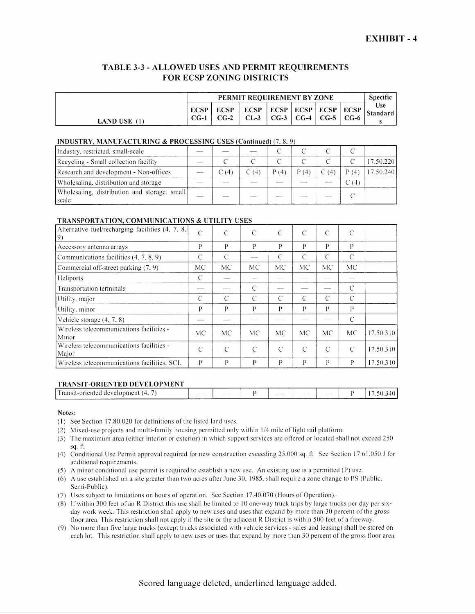### TABLE 3-3 - ALLOWED USES AND PERMIT REQUIREMENTS FOR ECSP ZONING DISTRICTS

|                 | PERMIT REOUIREMENT BY ZONE |                       |                       |                |  |                          |                   |                 |
|-----------------|----------------------------|-----------------------|-----------------------|----------------|--|--------------------------|-------------------|-----------------|
| <b>LAND USE</b> | <b>ECSP</b><br>$CG-1$      | <b>ECSP</b><br>$CG-2$ | <b>ECSP</b><br>$CL-3$ | ECSP ECSP ECSP |  | $CG-3$   $CG-4$   $CG-5$ | ECSP<br>$^+$ CG-6 | Use<br>Standard |

#### INDUSTRY, MANUFACTURING & PROCESSING USES (Continued) (7, 8, 9)

| Industry, restricted, small-scale                       |       |              |      |       |     |       |           |
|---------------------------------------------------------|-------|--------------|------|-------|-----|-------|-----------|
| Recycling - Small collection facility                   |       |              |      |       |     |       | 7.50.220  |
| Research and development - Non-offices                  | C (4) | $\Gamma$ (4) | P(4) | P (4) | (4) |       | 17.50.240 |
| Wholesaling, distribution and storage                   |       |              |      |       |     | C (4) |           |
| Wholesaling, distribution and storage, small<br>Iscale. |       |              |      |       |     |       |           |

#### TRANSPORTATION, COMMUNICATIONS & UTILITY USES

| Alternative fuel/recharging facilities $(4, 7, 8)$<br>19) | C             | C             | $\mathcal{C}$ | C             | C  | C             | C             |           |
|-----------------------------------------------------------|---------------|---------------|---------------|---------------|----|---------------|---------------|-----------|
| Accessory antenna arrays                                  | P             | P             | P             | P             | P  | P             | P             |           |
| Communications facilities (4, 7, 8, 9)                    | C             | $\mathcal{C}$ |               | C             | C  | C             | C             |           |
| Commercial off-street parking (7, 9)                      | MC            | <b>MC</b>     | MC            | МC            | МC | <b>MC</b>     | МC            |           |
| Heliports                                                 | C             |               |               |               |    |               |               |           |
| Transportation terminals                                  |               |               | C             |               |    |               | C             |           |
| Utility, major                                            | $\mathcal{C}$ | $\mathcal{C}$ | $\subset$     | C             | C  | C             | $\mathcal{C}$ |           |
| Utility, minor                                            | P             | P             | Р             | P             | P  | Р             | P             |           |
| Vehicle storage $(4, 7, 8)$                               |               |               |               |               |    |               | C             |           |
| Wireless telecommunications facilities -<br>Minor         | MC            | <b>MC</b>     | <b>MC</b>     | MC            | MC | <b>MC</b>     | MC            | 17.50.310 |
| Wireless telecommunications facilities -<br>Major         | C             | $\mathcal{C}$ | $\subset$     | $\mathcal{C}$ | C  | $\mathcal{C}$ | $\mathcal{C}$ | 17.50.310 |
| Wireless telecommunications facilities, SCL               | P             | P             | P             | P             | P  | P             | P             | 17.50.310 |

### TRANSIT-ORIENTED DEVELOPMENT

| _________<br>The property and the company of the company of the company of<br>$\sim$ |                          |  |                |      |                          |  |
|--------------------------------------------------------------------------------------|--------------------------|--|----------------|------|--------------------------|--|
| i ransit-<br>at-oriented 4<br>. development.<br>14                                   | $\overline{\phantom{a}}$ |  | <b>Service</b> | ---- | $\overline{\phantom{a}}$ |  |
|                                                                                      |                          |  |                |      |                          |  |

- (I) See Section 17.80.020 for definitions of the listed land uses.
- (2) Mixed-use projects and multi-family housing permitted only within 1/4 mile of light rail platform.
- (3) The maximum area (either interior or exterior) in vvhich support services are offered or located shall not exceed 250 sq. ft.
- ( 4) Conditional Use Permit approval required for new construction exceeding 25.000 sq. ft. See Section 17.61.050..1 for additional requirements.
- (5) A minor conditional use permit is required to establish a new use. An existing use is a permitted (P) usc.
- (6) A use established on a site greater than two acres after June  $30$ , 1985, shall require a zone change to PS (Public. Semi-Public).
- (7) Uses subject to limitations on hours of operation. See Section 17.40.070 (Hours of Operation).
- (8) If within 300 feet of an R District this use shall be limited to 10 one-way truck trips by large trucks per day per sixday work week. This restriction shall apply to new uses and uses that expand by more than 30 percent of the gross floor area. This restriction shall not apply if the site or the adjacent R District is within 500 feet of a freeway.
- (9) No more than five large trucks (except trucks associated with vehicle services- sales and leasing) shall be stored on each lot. This restriction shall apply to new uses or uses that expand by more than 30 percent of the gross floor area.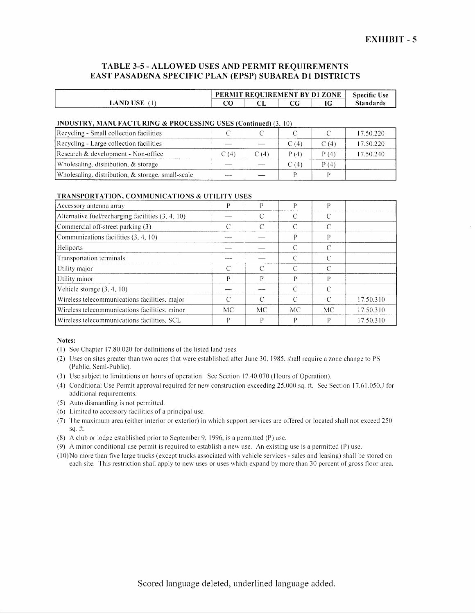### TABLE 3-5 - ALLOWED USES AND PERMIT REQUIREMENTS EAST PASADENA SPECIFIC PLAN (EPSP) SUBAREA D1 DISTRICTS

|                            |         |    | PERMIT REOUIREMENT BY D1 ZONE |   | <b>Specific Use</b> |
|----------------------------|---------|----|-------------------------------|---|---------------------|
| <b>USE</b><br>. ND<br>υA " | הי<br>w | ◡┺ |                               | u | Standards           |

#### INDUSTRY, MANUFACTURING & PROCESSING USES (Continued) (3 10)

| Recycling - Small collection facilities           |      |      |       |      | 17.50.220 |
|---------------------------------------------------|------|------|-------|------|-----------|
| Recycling - Large collection facilities           |      |      | C (4) | C(4) | 17.50.220 |
| Research & development - Non-office               | C(4) | C(4) | P(4)  | P(4) | 17.50.240 |
| Wholesaling, distribution, & storage              |      |      | C (4) | P(4) |           |
| Wholesaling, distribution, & storage, small-scale |      |      |       |      |           |

#### TRANSPORTATION, COMMUNICATIONS & UTILITY USES

| Accessory antenna array                           | D      | D         | P             |                             |           |
|---------------------------------------------------|--------|-----------|---------------|-----------------------------|-----------|
| Alternative fuel/recharging facilities (3, 4, 10) |        | C         | C             | $\mathcal{C}_{\mathcal{C}}$ |           |
| Commercial off-street parking (3)                 | $\cap$ | C         | $\mathcal{C}$ |                             |           |
| Communications facilities (3, 4, 10)              |        |           | P             | P                           |           |
| Heliports                                         |        |           | C             | $\subset$                   |           |
| Transportation terminals                          |        |           | $\mathcal{C}$ | $\Gamma$                    |           |
| Utility major                                     |        | C         | $\mathcal{C}$ | $\mathcal{C}$               |           |
| Utility minor                                     | D      | D         | P             | P                           |           |
| Vehicle storage (3, 4, 10)                        |        |           | $\mathcal{C}$ | $\subset$                   |           |
| Wireless telecommunications facilities, major     | C      | C         | C             | $\subset$                   | 17.50.310 |
| Wireless telecommunications facilities, minor     | MC     | <b>MC</b> | МC            | MC                          | 17.50.310 |
| Wireless telecommunications facilities, SCL       | Р      | P         | P             | P                           | 17.50.310 |

Notes:

- (I) See Chapter 17.80.020 for definitions of the listed land uses.
- (2) Uses on sites greater than two acres that were established after June 30, 1985, shall require a zone change to PS (Public. Semi-Public).
- (3) Use subject to limitations on hours of operation. See Section 17.40.070 (Hours of Operation).
- (4) Conditional Use Permit approval required for new construction exceeding 25,000 sq. tt. Sec Section 17.61.050..1 for additional requirements.
- (5) Auto dismantling is not permitted.
- (6) Limited to accessory facilities of a principal use.
- (7) The maximum area (either interior or exterior) in which support services are offered or located shall not exceed 250 sq. ft.
- (8) A club or lodge established prior to September 9. 1996, is a permitted (P) use.

(9) A minor conditional use permit is required to establish a new use. An existing use is a permitted (P) usc.

(I 0) No more than tive large trucks (except trucks associated with vehicle services- sales and leasing) shall be stored on each site. This restriction shall apply to new uses or uses which expand by more than 30 percent of gross floor area.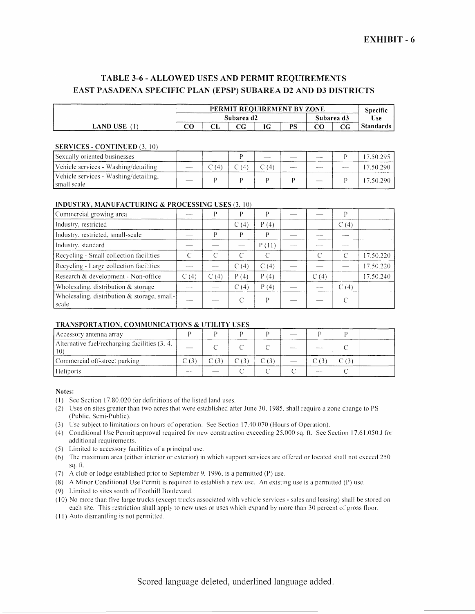# TABLE 3-6- ALLOWED USES AND PERMIT REQUIREMENTS EAST PASADENA SPECIFIC PLAN (EPSP) SUBAREA D2 AND D3 DISTRICTS

|          |  | PERMIT REOUIREMENT BY ZONE |            |      |    |  |          |                  |  |
|----------|--|----------------------------|------------|------|----|--|----------|------------------|--|
|          |  | Subarea d2                 | Subarea d3 | Use: |    |  |          |                  |  |
| LAND USE |  |                            |            |      | PS |  | rη<br>∪∪ | <b>Standards</b> |  |

### SERVICES - CONTINUED (3, 10)

| Sexually oriented businesses                          |                |  |  | 17.50.295 |
|-------------------------------------------------------|----------------|--|--|-----------|
| Vehicle services - Washing/detailing                  | $\mathbb C(4)$ |  |  | 17.50.290 |
| Vehicle services - Washing/detailing,<br>Ismall scale |                |  |  | 17.50.290 |

#### INDUSTRY, MANUFACTURING & PROCESSING USES (3 10)

| Commercial growing area                              |                | D    | D        | D     |       |               | D                 |           |
|------------------------------------------------------|----------------|------|----------|-------|-------|---------------|-------------------|-----------|
| Industry, restricted                                 |                |      | C(4)     | P(4)  |       |               | C(4)              |           |
| Industry, restricted, small-scale                    |                | D    | р        | P     |       |               |                   |           |
| Industry, standard                                   |                |      |          | P(11) |       |               | <b>STATISTICS</b> |           |
| Recycling - Small collection facilities              | $\mathcal{C}$  | C    | ⌒        |       |       | $\mathcal{C}$ | C                 | 17.50.220 |
| Recycling - Large collection facilities              | <b>MAGAZIN</b> |      | C(4)     | C(4)  |       |               |                   | 17.50.220 |
| Research & development - Non-office                  | C(4)           | C(4) | P(4)     | P(4)  | وسيست | C(4)          |                   | 17.50.240 |
| Wholesaling, distribution & storage                  |                |      | C<br>(4) | P(4)  |       |               | C(4)              |           |
| Wholesaling, distribution & storage, small-<br>scale |                |      |          | D     |       |               |                   |           |

### TRANSPORTATION, COMMUNICATIONS & UTILITY USES

| Accessory antenna array                                |  |  |  |  |
|--------------------------------------------------------|--|--|--|--|
| Alternative fuel/recharging facilities (3, 4,<br>l 10' |  |  |  |  |
| Commercial off-street parking                          |  |  |  |  |
| Heliports                                              |  |  |  |  |

#### Notes:

- (2) Uses on sites greater than two acres that were established after June 30, 1985, shall require a zone change to PS (Public, Semi-Public).
- (3) Usc subject to limitations on hours of operation. See Section 17.40.070 (Hours of Operation).
- ( 4) Conditional Use Permit approval required for new construction exceeding 25,000 sq. ft. See Section 17.61.050..1 for additional requirements.
- (5) Limited to accessory facilities of a principal use.
- (6) The maximum area (either interior or exterior) in which support services are offered or located shall not exceed 250 sq. ft.
- (7) A club or lodge established prior to September 9, 1996, is a permitted (P) use.
- (8) A Minor Conditional Use Permit is required to establish a new use. An existing use is a permitted (P) usc.
- (9) Limited to sites south of Foothill Boulevard.
- ( 10) No more than five large trucks (except trucks associated with vehicle services- sales and leasing) shall be stored on each site. This restriction shall apply to new uses or uses which expand by more than 30 percent of gross floor.
- (II) Auto dismantling is not permitted.

Scored language deleted, underlined language added.

<sup>(</sup>I) See Section 17.80.020 for definitions of the listed land uses.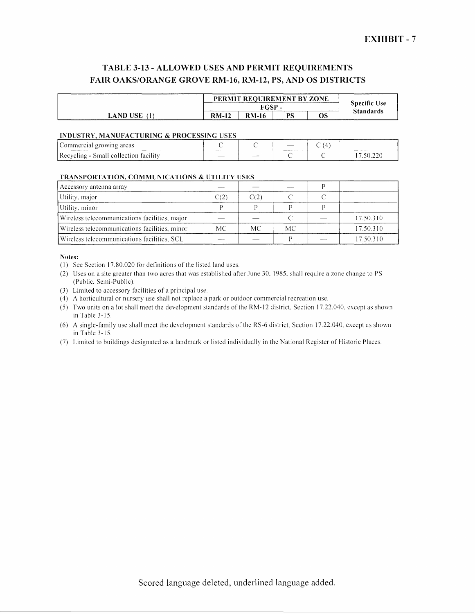# TABLE 3-13- ALLOWED USES AND PERMIT REQUIREMENTS FAIR OAKS/ORANGE GROVE RM-16, RM-12, PS, AND OS DISTRICTS

|                 | PERMIT REOUIREMENT BY ZONE |              |    |    |                  |  |  |
|-----------------|----------------------------|--------------|----|----|------------------|--|--|
|                 |                            | FGSP         |    |    |                  |  |  |
| <b>LAND USE</b> | <b>RM-12</b>               | <b>RM-16</b> | PS | OS | <b>Standards</b> |  |  |

#### INDUSTRY, MANUFACTURING & PROCESSING USES

| Commercial growing areas              |      |  |  |
|---------------------------------------|------|--|--|
| Recycling - Small collection facility | ____ |  |  |

### TRANSPORTATION, COMMUNICATIONS & UTILITY USES

| Accessory antenna array                       |      |      |     |           |
|-----------------------------------------------|------|------|-----|-----------|
| Utility, major                                | C(2) | C(2) |     |           |
| Utility, minor                                |      |      |     |           |
| Wireless telecommunications facilities, major |      |      |     | 17.50.310 |
| Wireless telecommunications facilities, minor | MC.  | MC.  | MC. | 17.50.310 |
| Wireless telecommunications facilities, SCL   |      |      |     | 17.50.310 |

- (I) Sec Section 17.80.020 for definitions of the listed land uses.
- (2) Uses on a site greater than two acres that was established after June 30, 1985, shall require a zone change to PS (Public, Semi-Public).
- (3) Limited to accessory facilities of a principal use.
- ( 4) A horticultural or nursery use shall not replace a park or outdoor commercial recreation use.
- (5) Two units on a lot shall meet the development standards ofthe RM-12 district Section 17.22.040. except as shown in Table 3-15.
- (6) A single-family usc shall meet the development standards of the RS-6 district, Section 17.22.040. except as shown in Table 3-15.
- (7) Limited to buildings designated as a landmark or listed individually in the National Register of Historic Places.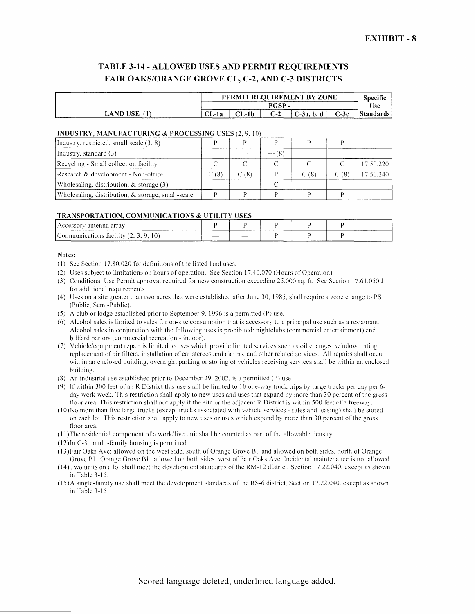## TABLE 3-14- ALLOWED USES AND PERMIT REQUIREMENTS FAIR OAKS/ORANGE GROVE CL, C-2, AND C-3 DISTRICTS

|                 |       | PERMIT REQUIREMENT BY ZONE |  |             |        |            |  |  |
|-----------------|-------|----------------------------|--|-------------|--------|------------|--|--|
|                 |       | FGSP -                     |  |             |        |            |  |  |
| <b>LAND USE</b> | CL-1a | -1 b                       |  | $C-3a$ , b, | $C-3c$ | 'Standards |  |  |

#### INDUSTRY, MANUFACTURING & PROCESSING USES (2, 9, 10)

| Industry, restricted, small scale $(3, 8)$           |                         |       |             |      |      |           |
|------------------------------------------------------|-------------------------|-------|-------------|------|------|-----------|
| Industry, standard (3)                               |                         |       | (8)<br>---- |      |      |           |
| Recycling - Small collection facility                |                         |       |             |      |      | 17.50.220 |
| Research & development - Non-office                  | $\degree$ (8) $\degree$ | C (8) |             | C(8) | C(8) | 17.50.240 |
| Wholesaling, distribution, $\&$ storage (3)          |                         |       |             |      |      |           |
| Wholesaling, distribution, $\&$ storage, small-scale |                         |       |             |      |      |           |

#### TRANSPORTATION, COMMUNICATIONS & UTILITY USES

| I Accessory antenna array             |  |  |  |
|---------------------------------------|--|--|--|
| Communications facility (2, 3, 9, 10) |  |  |  |

#### Notes:

- (I) Sec Section 17.80.020 for definitions of the listed land uses.
- (2) Uses subject to limitations on hours of operation. See Section 17.40.070 (Hours of Operation).
- (3) Conditional Use Permit approval required for new construction exceeding 25,000 sq. ft. See Section 17.61.050..1 for additional requirements.
- (4) Uses on a site greater than two acres that were established after June 30, 1985, shall require a zone change toPS (Public, Semi-Public).
- (5) A club or lodge established prior to September 9, 1996 is a permitted (P) use.
- (6) Alcohol sales is limited to sales for on-site consumption that is accessory to a principal use such as a restaurant. Alcohol sales in conjunction with the following uses is prohibited: nightclubs (commercial entertainment) and billiard parlors (commercial recreation- indoor).
- (7) Vehicle/equipment repair is limited to uses which provide limited services such as oil changes, window tinting. replacement of air filters, installation of car stereos and alarms, and other related services. All repairs shall occur within an enclosed building, overnight parking or storing of vehicles receiving services shall be within an enclosed building.
- (8) An industrial usc established prior to December 29. 2002, is a permitted (P) use.
- (9) If within 300 feet of an R District this use shall be limited to I 0 one-way truck trips by large trucks per day per 6 day work week. This restriction shall apply to new uses and uses that expand by more than 30 percent of the gross floor area. This restriction shall not apply if the site or the adjacent R District is within 500 feet of a freeway.
- (IO)No more than tive large trucks (except trucks associated with vehicle services- sales and leasing) shall be stored on each lot. This restriction shall apply to new uses or uses \vhich expand by more than 30 percent of the gross floor area.
- (II )The residential component of a work/live unit shall be counted as part of the allowable density.
- ( 12) InC-3d multi-family housing is permitted.
- (13)Fair Oaks Ave: allowed on the west side, south of Orange Grove Bl. and allowed on both sides. north of Orange Grove Bl., Orange Grove 81.: allowed on both sides, west of Fair Oaks Ave. Incidental maintenance is not allowed.
- ( 14) Two units on a lot shall meet the development standards of the RM-12 district, Section 17 .22.040. except as shown in Table 3-15.
- ( 15)A single-family use shall meet the development standards of the RS-6 district, Section 17.22.040. except as shown in Table 3-15.

Scored language deleted, underlined language added.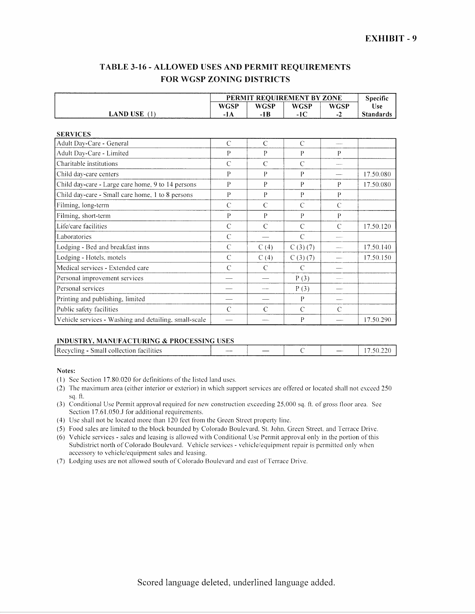## TABLE 3-16- ALLOWED USES AND PERMIT REQUIREMENTS FOR WGSP ZONING DISTRICTS

|                                                       | PERMIT REQUIREMENT BY ZONE | Specific       |               |                |                  |
|-------------------------------------------------------|----------------------------|----------------|---------------|----------------|------------------|
|                                                       | <b>WGSP</b>                | <b>WGSP</b>    | <b>WGSP</b>   | WGSP           | <b>Use</b>       |
| <b>LAND USE</b> $(1)$                                 | $-1A$                      | $-1B$          | $-1C$         | $-2$           | <b>Standards</b> |
|                                                       |                            |                |               |                |                  |
| <b>SERVICES</b>                                       |                            |                |               |                |                  |
| Adult Day-Care - General                              | $\mathcal{C}$              | $\mathcal{C}$  | $\mathcal{C}$ | $\overline{a}$ |                  |
| Adult Day-Care - Limited                              | P                          | P              | P             | P              |                  |
| Charitable institutions                               | $\overline{C}$             | $\mathcal{C}$  | $\mathcal{C}$ | ----           |                  |
| Child day-care centers                                | P                          | P              | P             |                | 17.50.080        |
| Child day-care - Large care home, 9 to 14 persons     | $\mathbf{P}$               | P              | $\mathbf{P}$  | $\mathbf{P}$   | 17.50.080        |
| Child day-care - Small care home, 1 to 8 persons      | $\mathbf{P}$               | $\mathbf{P}$   | $\mathbf{P}$  | P              |                  |
| Filming, long-term                                    | $\mathcal{C}$              | $\mathcal{C}$  | $\mathsf{C}$  | $\overline{C}$ |                  |
| Filming, short-term                                   | P                          | P              | $\mathbf{P}$  | $\mathbf{P}$   |                  |
| Life/care facilities                                  | $\mathcal{C}$              | $\mathcal{C}$  | $\mathcal{C}$ | C              | 17.50.120        |
| Laboratories                                          | $\overline{C}$             |                | $\mathcal{C}$ |                |                  |
| Lodging - Bed and breakfast inns                      | $\mathcal{C}$              | C(4)           | C(3)(7)       | <b>Color</b>   | 17.50.140        |
| Lodging - Hotels, motels                              | $\mathcal{C}$              | C(4)           | C(3)(7)       |                | 17.50.150        |
| Medical services - Extended care                      | $\overline{C}$             | $\mathcal{C}$  | $\mathcal{C}$ |                |                  |
| Personal improvement services                         |                            |                | P(3)          |                |                  |
| Personal services                                     |                            | <b>Sandary</b> | P(3)          |                |                  |
| Printing and publishing, limited                      |                            |                | P             | --             |                  |
| Public safety facilities                              | $\mathcal{C}$              | $\mathcal{C}$  | $\mathcal{C}$ | $\mathcal{C}$  |                  |
| Vehicle services - Washing and detailing, small-scale |                            |                | P             |                | 17.50.290        |

### INDUSTRY, MANUFACTURING & PROCESSING USES

| Recycling - Small collection facilities | <b>STORY COMPANY</b> |  | $-\cdot$ |  |
|-----------------------------------------|----------------------|--|----------|--|
|                                         |                      |  |          |  |

- ( 1) See Section 17.80.020 for definitions of the listed land uses.
- (2) The maximum area (either interior or exterior) in which support services are offered or located shall not exceed 250 sq. ft.
- (3) Conditional Use Permit approval required for new construction exceeding 25,000 sq. ft. of gross floor area. See Section 17.61.050.J for additional requirements.
- (4) Use shall not be located more than 120 feet from the Green Street property line.
- (5) Food sales are limited to the block bounded by Colorado Boulevard. St. John. Green Street, and Terrace Drive.
- (6) Vehicle services- sales and leasing is allowed with Conditional Use Permit approval only in the portion of this Subdistrict north of Colorado Boulevard. Vehicle services - vehicle/equipment repair is permitted only when accessory to vehicle/equipment sales and leasing.
- (7) Lodging uses are not allowed south of Colorado Boulevard and east of Terrace Drive.